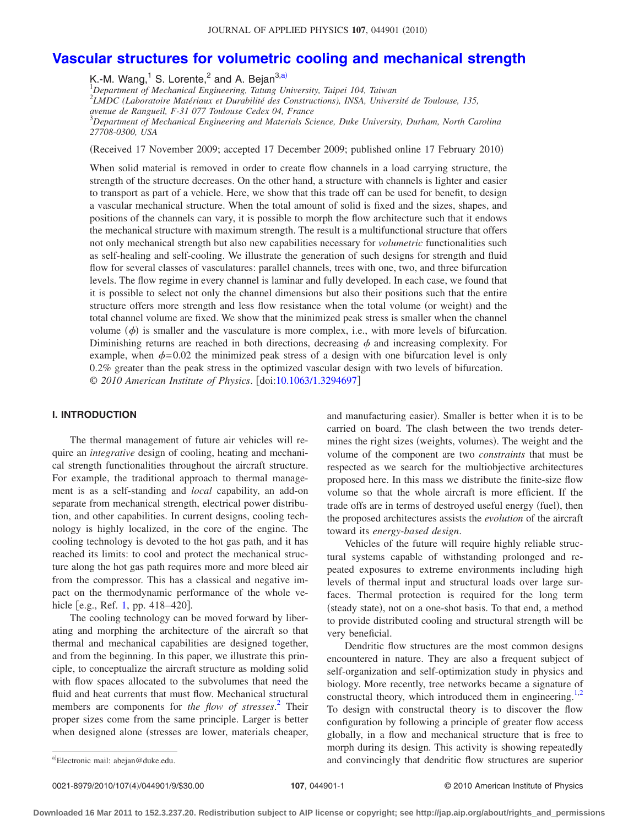# **[Vascular structures for volumetric cooling and mechanical strength](http://dx.doi.org/10.1063/1.3294697)**

K.-M. Wang,<sup>1</sup> S. Lorente,<sup>2</sup> and A. Bejan<sup>3,a)</sup>

1 *Department of Mechanical Engineering, Tatung University, Taipei 104, Taiwan*

2 *LMDC (Laboratoire Matériaux et Durabilité des Constructions), INSA, Université de Toulouse, 135,*

*avenue de Rangueil, F-31 077 Toulouse Cedex 04, France*

3 *Department of Mechanical Engineering and Materials Science, Duke University, Durham, North Carolina 27708-0300, USA*

(Received 17 November 2009; accepted 17 December 2009; published online 17 February 2010)

When solid material is removed in order to create flow channels in a load carrying structure, the strength of the structure decreases. On the other hand, a structure with channels is lighter and easier to transport as part of a vehicle. Here, we show that this trade off can be used for benefit, to design a vascular mechanical structure. When the total amount of solid is fixed and the sizes, shapes, and positions of the channels can vary, it is possible to morph the flow architecture such that it endows the mechanical structure with maximum strength. The result is a multifunctional structure that offers not only mechanical strength but also new capabilities necessary for *volumetric* functionalities such as self-healing and self-cooling. We illustrate the generation of such designs for strength and fluid flow for several classes of vasculatures: parallel channels, trees with one, two, and three bifurcation levels. The flow regime in every channel is laminar and fully developed. In each case, we found that it is possible to select not only the channel dimensions but also their positions such that the entire structure offers more strength and less flow resistance when the total volume (or weight) and the total channel volume are fixed. We show that the minimized peak stress is smaller when the channel volume  $(\phi)$  is smaller and the vasculature is more complex, i.e., with more levels of bifurcation. Diminishing returns are reached in both directions, decreasing  $\phi$  and increasing complexity. For example, when  $\phi = 0.02$  the minimized peak stress of a design with one bifurcation level is only 0.2% greater than the peak stress in the optimized vascular design with two levels of bifurcation. © *2010 American Institute of Physics*. doi[:10.1063/1.3294697](http://dx.doi.org/10.1063/1.3294697)

# **I. INTRODUCTION**

The thermal management of future air vehicles will require an *integrative* design of cooling, heating and mechanical strength functionalities throughout the aircraft structure. For example, the traditional approach to thermal management is as a self-standing and *local* capability, an add-on separate from mechanical strength, electrical power distribution, and other capabilities. In current designs, cooling technology is highly localized, in the core of the engine. The cooling technology is devoted to the hot gas path, and it has reached its limits: to cool and protect the mechanical structure along the hot gas path requires more and more bleed air from the compressor. This has a classical and negative impact on the thermodynamic performance of the whole ve-hicle [e.g., Ref. [1,](#page-8-0) pp.  $418-420$ ].

The cooling technology can be moved forward by liberating and morphing the architecture of the aircraft so that thermal and mechanical capabilities are designed together, and from the beginning. In this paper, we illustrate this principle, to conceptualize the aircraft structure as molding solid with flow spaces allocated to the subvolumes that need the fluid and heat currents that must flow. Mechanical structural members are components for *the flow of stresses*. [2](#page-8-1) Their proper sizes come from the same principle. Larger is better when designed alone (stresses are lower, materials cheaper,

and manufacturing easier). Smaller is better when it is to be carried on board. The clash between the two trends determines the right sizes (weights, volumes). The weight and the volume of the component are two *constraints* that must be respected as we search for the multiobjective architectures proposed here. In this mass we distribute the finite-size flow volume so that the whole aircraft is more efficient. If the trade offs are in terms of destroyed useful energy (fuel), then the proposed architectures assists the *evolution* of the aircraft toward its *energy-based design*.

Vehicles of the future will require highly reliable structural systems capable of withstanding prolonged and repeated exposures to extreme environments including high levels of thermal input and structural loads over large surfaces. Thermal protection is required for the long term (steady state), not on a one-shot basis. To that end, a method to provide distributed cooling and structural strength will be very beneficial.

Dendritic flow structures are the most common designs encountered in nature. They are also a frequent subject of self-organization and self-optimization study in physics and biology. More recently, tree networks became a signature of constructal theory, which introduced them in engineering. $1,2$  $1,2$ To design with constructal theory is to discover the flow configuration by following a principle of greater flow access globally, in a flow and mechanical structure that is free to morph during its design. This activity is showing repeatedly and convincingly that dendritic flow structures are superior

Electronic mail: abejan@duke.edu.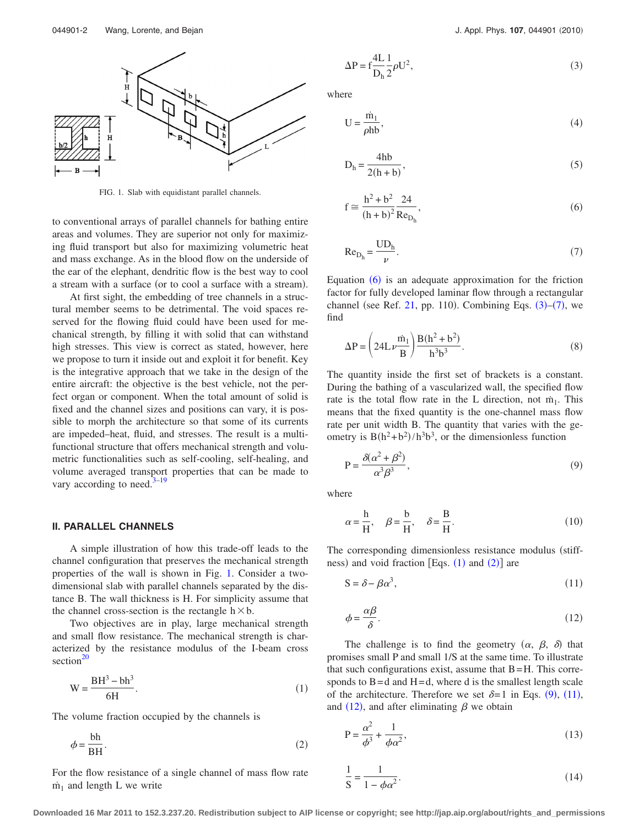<span id="page-1-0"></span>

FIG. 1. Slab with equidistant parallel channels.

to conventional arrays of parallel channels for bathing entire areas and volumes. They are superior not only for maximizing fluid transport but also for maximizing volumetric heat and mass exchange. As in the blood flow on the underside of the ear of the elephant, dendritic flow is the best way to cool a stream with a surface (or to cool a surface with a stream).

At first sight, the embedding of tree channels in a structural member seems to be detrimental. The void spaces reserved for the flowing fluid could have been used for mechanical strength, by filling it with solid that can withstand high stresses. This view is correct as stated, however, here we propose to turn it inside out and exploit it for benefit. Key is the integrative approach that we take in the design of the entire aircraft: the objective is the best vehicle, not the perfect organ or component. When the total amount of solid is fixed and the channel sizes and positions can vary, it is possible to morph the architecture so that some of its currents are impeded–heat, fluid, and stresses. The result is a multifunctional structure that offers mechanical strength and volumetric functionalities such as self-cooling, self-healing, and volume averaged transport properties that can be made to vary according to need. $3-19$  $3-19$ 

## **II. PARALLEL CHANNELS**

A simple illustration of how this trade-off leads to the channel configuration that preserves the mechanical strength properties of the wall is shown in Fig. [1.](#page-1-0) Consider a twodimensional slab with parallel channels separated by the distance B. The wall thickness is H. For simplicity assume that the channel cross-section is the rectangle  $h \times b$ .

Two objectives are in play, large mechanical strength and small flow resistance. The mechanical strength is characterized by the resistance modulus of the I-beam cross section $^{20}$ 

<span id="page-1-4"></span>
$$
W = \frac{BH^3 - bh^3}{6H}.
$$
 (1)

<span id="page-1-5"></span>The volume fraction occupied by the channels is

$$
\phi = \frac{\text{bh}}{\text{BH}}.\tag{2}
$$

For the flow resistance of a single channel of mass flow rate  $m<sub>1</sub>$  and length L we write

<span id="page-1-2"></span>
$$
\Delta P = f \frac{4L}{D_h} \frac{1}{2} \rho U^2,
$$
\n(3)

where

$$
U = \frac{\dot{m}_1}{\rho h b},\tag{4}
$$

$$
D_h = \frac{4hb}{2(h+b)},
$$
\n(5)

<span id="page-1-1"></span>
$$
f \approx \frac{h^2 + b^2}{(h + b)^2} \frac{24}{Re_{D_h}},
$$
\n(6)

<span id="page-1-3"></span>
$$
\text{Re}_{\text{D}_{\text{h}}} = \frac{\text{UD}_{\text{h}}}{\nu}.
$$
 (7)

Equation  $(6)$  $(6)$  $(6)$  is an adequate approximation for the friction factor for fully developed laminar flow through a rectangular channel (see Ref. [21,](#page-8-5) pp. 110). Combining Eqs.  $(3)$  $(3)$  $(3)$ – $(7)$  $(7)$  $(7)$ , we find

$$
\Delta P = \left(24L\nu \frac{\dot{m}_1}{B}\right) \frac{B(h^2 + b^2)}{h^3 b^3}.
$$
 (8)

The quantity inside the first set of brackets is a constant. During the bathing of a vascularized wall, the specified flow rate is the total flow rate in the L direction, not  $\dot{m}_1$ . This means that the fixed quantity is the one-channel mass flow rate per unit width B. The quantity that varies with the geometry is  $B(h^2+b^2)/h^3b^3$ , or the dimensionless function

<span id="page-1-6"></span>
$$
P = \frac{\delta(\alpha^2 + \beta^2)}{\alpha^3 \beta^3},\tag{9}
$$

where

$$
\alpha = \frac{h}{H}, \quad \beta = \frac{b}{H}, \quad \delta = \frac{B}{H}.
$$
 (10)

The corresponding dimensionless resistance modulus (stiffness) and void fraction [Eqs.  $(1)$  $(1)$  $(1)$  and  $(2)$  $(2)$  $(2)$ ] are

<span id="page-1-7"></span>
$$
S = \delta - \beta \alpha^3,\tag{11}
$$

<span id="page-1-8"></span>
$$
\phi = \frac{\alpha \beta}{\delta}.\tag{12}
$$

The challenge is to find the geometry  $(\alpha, \beta, \delta)$  that promises small P and small 1/S at the same time. To illustrate that such configurations exist, assume that  $B=H$ . This corresponds to  $B = d$  and  $H = d$ , where d is the smallest length scale of the architecture. Therefore we set  $\delta = 1$  in Eqs. ([9](#page-1-6)), ([11](#page-1-7)), and ([12](#page-1-8)), and after eliminating  $\beta$  we obtain

<span id="page-1-9"></span>
$$
P = \frac{\alpha^2}{\phi^3} + \frac{1}{\phi \alpha^2},\tag{13}
$$

<span id="page-1-10"></span>
$$
\frac{1}{\mathrm{S}} = \frac{1}{1 - \phi \alpha^2}.\tag{14}
$$

**Downloaded 16 Mar 2011 to 152.3.237.20. Redistribution subject to AIP license or copyright; see http://jap.aip.org/about/rights\_and\_permissions**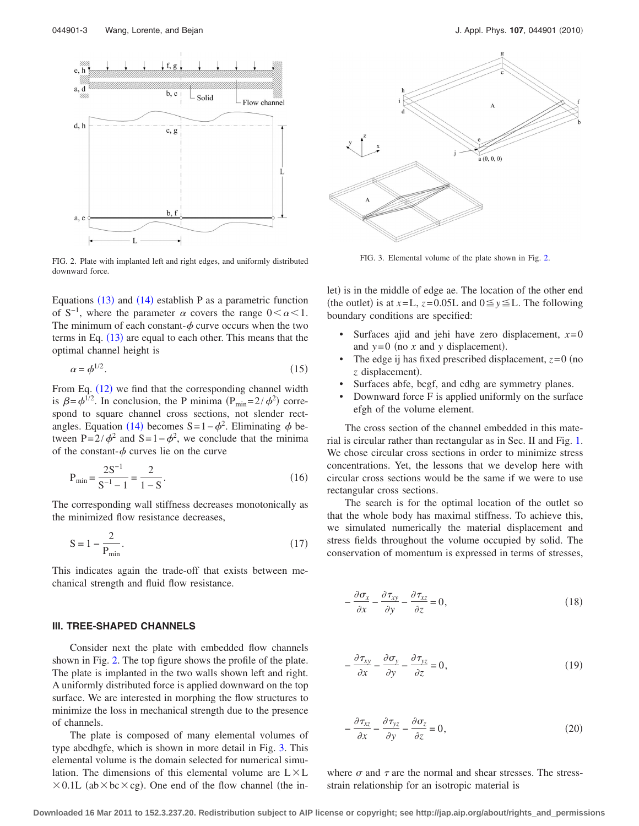<span id="page-2-0"></span>

FIG. 2. Plate with implanted left and right edges, and uniformly distributed downward force.

Equations  $(13)$  $(13)$  $(13)$  and  $(14)$  $(14)$  $(14)$  establish P as a parametric function of S<sup>-1</sup>, where the parameter  $\alpha$  covers the range  $0 \le \alpha \le 1$ . The minimum of each constant- $\phi$  curve occurs when the two terms in Eq.  $(13)$  $(13)$  $(13)$  are equal to each other. This means that the optimal channel height is

$$
\alpha = \phi^{1/2}.\tag{15}
$$

From Eq. ([12](#page-1-8)) we find that the corresponding channel width is  $\beta = \phi^{1/2}$ . In conclusion, the P minima  $(P_{\min} = 2/\phi^2)$  correspond to square channel cross sections, not slender rect-angles. Equation ([14](#page-1-10)) becomes S=1- $\phi^2$ . Eliminating  $\phi$  between P= $2/\phi^2$  and S=1- $\phi^2$ , we conclude that the minima of the constant- $\phi$  curves lie on the curve

$$
P_{\min} = \frac{2S^{-1}}{S^{-1} - 1} = \frac{2}{1 - S}.
$$
 (16)

The corresponding wall stiffness decreases monotonically as the minimized flow resistance decreases,

$$
S = 1 - \frac{2}{P_{\min}}.\tag{17}
$$

This indicates again the trade-off that exists between mechanical strength and fluid flow resistance.

## **III. TREE-SHAPED CHANNELS**

Consider next the plate with embedded flow channels shown in Fig. [2.](#page-2-0) The top figure shows the profile of the plate. The plate is implanted in the two walls shown left and right. A uniformly distributed force is applied downward on the top surface. We are interested in morphing the flow structures to minimize the loss in mechanical strength due to the presence of channels.

The plate is composed of many elemental volumes of type abcdhgfe, which is shown in more detail in Fig. [3.](#page-2-1) This elemental volume is the domain selected for numerical simulation. The dimensions of this elemental volume are  $L \times L$  $\times 0.1$ L (ab $\times$ bc $\times$ cg). One end of the flow channel (the in-

<span id="page-2-1"></span>

FIG. 3. Elemental volume of the plate shown in Fig. [2.](#page-2-0)

let) is in the middle of edge ae. The location of the other end (the outlet) is at  $x=L$ ,  $z=0.05L$  and  $0 \le y \le L$ . The following boundary conditions are specified:

- Surfaces ajid and jehi have zero displacement,  $x=0$ and  $y=0$  (no  $x$  and  $y$  displacement).
- The edge ij has fixed prescribed displacement,  $z=0$  (no z displacement).
- Surfaces abfe, bcgf, and cdhg are symmetry planes.
- Downward force F is applied uniformly on the surface efgh of the volume element.

The cross section of the channel embedded in this material is circular rather than rectangular as in Sec. II and Fig. [1.](#page-1-0) We chose circular cross sections in order to minimize stress concentrations. Yet, the lessons that we develop here with circular cross sections would be the same if we were to use rectangular cross sections.

The search is for the optimal location of the outlet so that the whole body has maximal stiffness. To achieve this, we simulated numerically the material displacement and stress fields throughout the volume occupied by solid. The conservation of momentum is expressed in terms of stresses,

<span id="page-2-2"></span>
$$
-\frac{\partial \sigma_x}{\partial x} - \frac{\partial \tau_{xy}}{\partial y} - \frac{\partial \tau_{xz}}{\partial z} = 0, \tag{18}
$$

$$
-\frac{\partial \tau_{xy}}{\partial x} - \frac{\partial \sigma_y}{\partial y} - \frac{\partial \tau_{yz}}{\partial z} = 0, \tag{19}
$$

<span id="page-2-3"></span>
$$
-\frac{\partial \tau_{xz}}{\partial x} - \frac{\partial \tau_{yz}}{\partial y} - \frac{\partial \sigma_z}{\partial z} = 0,
$$
\n(20)

where  $\sigma$  and  $\tau$  are the normal and shear stresses. The stressstrain relationship for an isotropic material is

**Downloaded 16 Mar 2011 to 152.3.237.20. Redistribution subject to AIP license or copyright; see http://jap.aip.org/about/rights\_and\_permissions**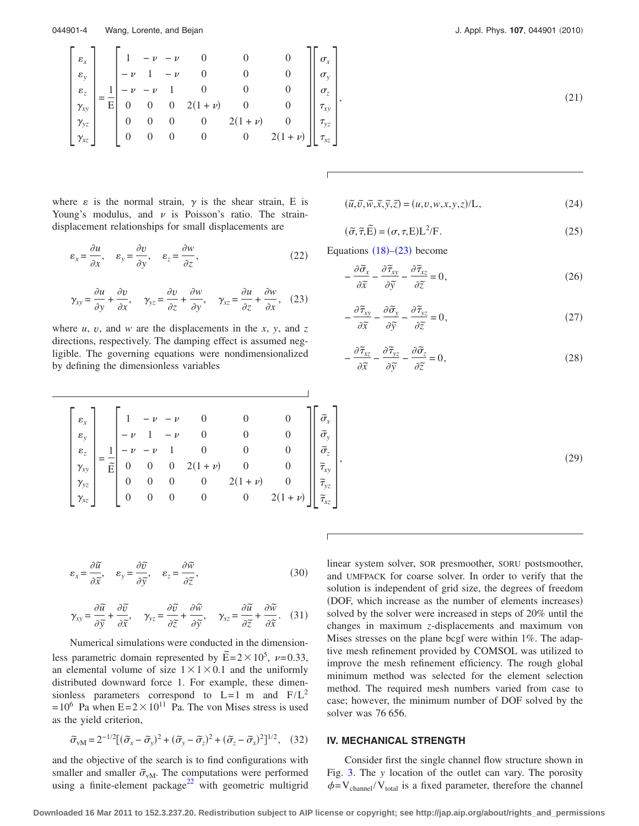<span id="page-3-1"></span>044901-4 Wang, Lorente, and Bejan

$$
\begin{bmatrix}\n\varepsilon_x \\
\varepsilon_y \\
\varepsilon_z \\
\hline\n\gamma_{xy} \\
\gamma_{yz} \\
\gamma_{yz} \\
\gamma_{xz}\n\end{bmatrix} = \frac{1}{E} \begin{bmatrix}\n1 & -\nu & -\nu & 0 & 0 & 0 \\
-\nu & 1 & -\nu & 0 & 0 & 0 \\
-\nu & -\nu & 1 & 0 & 0 & 0 \\
0 & 0 & 0 & 2(1+\nu) & 0 & 0 \\
0 & 0 & 0 & 0 & 2(1+\nu) & 0 \\
0 & 0 & 0 & 0 & 0 & 2(1+\nu)\n\end{bmatrix} \begin{bmatrix}\n\sigma_x \\
\sigma_y \\
\sigma_z \\
\tau_{xy} \\
\tau_{yz} \\
\tau_{xz}\n\end{bmatrix}
$$

where  $\varepsilon$  is the normal strain,  $\gamma$  is the shear strain, E is Young's modulus, and  $\nu$  is Poisson's ratio. The straindisplacement relationships for small displacements are

<span id="page-3-2"></span>
$$
\varepsilon_x = \frac{\partial u}{\partial x}, \quad \varepsilon_y = \frac{\partial v}{\partial y}, \quad \varepsilon_z = \frac{\partial w}{\partial z}, \tag{22}
$$

<span id="page-3-0"></span>
$$
\gamma_{xy} = \frac{\partial u}{\partial y} + \frac{\partial v}{\partial x}, \quad \gamma_{yz} = \frac{\partial v}{\partial z} + \frac{\partial w}{\partial y}, \quad \gamma_{xz} = \frac{\partial u}{\partial z} + \frac{\partial w}{\partial x}, \quad (23)
$$

where  $u$ ,  $v$ , and  $w$  are the displacements in the  $x$ ,  $y$ , and  $z$ directions, respectively. The damping effect is assumed negligible. The governing equations were nondimensionalized by defining the dimensionless variables

2010

$$
\tag{21}
$$

$$
(\tilde{u}, \tilde{v}, \tilde{w}, \tilde{x}, \tilde{y}, \tilde{z}) = (u, v, w, x, y, z) / L,
$$
\n(24)

$$
(\tilde{\sigma}, \tilde{\tau}, \tilde{E}) = (\sigma, \tau, E)L^2/F.
$$
 (25)

<span id="page-3-4"></span>Equations  $(18)$  $(18)$  $(18)$ - $(23)$  $(23)$  $(23)$  become

$$
-\frac{\partial \widetilde{\sigma}_x}{\partial \widetilde{x}} - \frac{\partial \widetilde{\tau}_{xy}}{\partial \widetilde{y}} - \frac{\partial \widetilde{\tau}_{xz}}{\partial \widetilde{z}} = 0, \tag{26}
$$

$$
-\frac{\partial \widetilde{\tau}_{xy}}{\partial \widetilde{x}} - \frac{\partial \widetilde{\sigma}_y}{\partial \widetilde{y}} - \frac{\partial \widetilde{\tau}_{yz}}{\partial \widetilde{z}} = 0, \tag{27}
$$

$$
-\frac{\partial \widetilde{\tau}_{xz}}{\partial \widetilde{x}} - \frac{\partial \widetilde{\tau}_{yz}}{\partial \widetilde{y}} - \frac{\partial \widetilde{\sigma}_z}{\partial \widetilde{z}} = 0, \tag{28}
$$

 $,$  (29)

 $(29)$ 

$$
\begin{bmatrix}\n\varepsilon_x \\
\varepsilon_y \\
\varepsilon_z \\
\gamma_{xy} \\
\gamma_{yz} \\
\gamma_{xz}\n\end{bmatrix} = \frac{1}{\tilde{E}} \begin{bmatrix}\n1 & -\nu & -\nu & 0 & 0 & 0 \\
-\nu & 1 & -\nu & 0 & 0 & 0 \\
-\nu & -\nu & 1 & 0 & 0 & 0 \\
0 & 0 & 0 & 2(1+\nu) & 0 & 0 \\
0 & 0 & 0 & 0 & 2(1+\nu) & 0 \\
0 & 0 & 0 & 0 & 0 & 2(1+\nu)\n\end{bmatrix} \begin{bmatrix}\n\tilde{\sigma}_x \\
\tilde{\sigma}_y \\
\tilde{\sigma}_z \\
\tilde{\tau}_{xy} \\
\tilde{\tau}_{yz} \\
\tilde{\tau}_{xz}\n\end{bmatrix}
$$

$$
\varepsilon_x = \frac{\partial \tilde{u}}{\partial \tilde{x}}, \quad \varepsilon_y = \frac{\partial \tilde{v}}{\partial \tilde{y}}, \quad \varepsilon_z = \frac{\partial \tilde{w}}{\partial \tilde{z}}, \tag{30}
$$

$$
\gamma_{xy} = \frac{\partial \widetilde{u}}{\partial \widetilde{y}} + \frac{\partial \widetilde{v}}{\partial \widetilde{x}}, \quad \gamma_{yz} = \frac{\partial \widetilde{v}}{\partial \widetilde{z}} + \frac{\partial \widetilde{w}}{\partial \widetilde{y}}, \quad \gamma_{xz} = \frac{\partial \widetilde{u}}{\partial \widetilde{z}} + \frac{\partial \widetilde{w}}{\partial \widetilde{x}}.
$$
 (31)

Numerical simulations were conducted in the dimensionless parametric domain represented by  $\widetilde{E} = 2 \times 10^5$ ,  $\nu = 0.33$ , an elemental volume of size  $1 \times 1 \times 0.1$  and the uniformly distributed downward force 1. For example, these dimensionless parameters correspond to  $L=1$  m and  $F/L^2$  $= 10^6$  Pa when  $E = 2 \times 10^{11}$  Pa. The von Mises stress is used as the yield criterion,

$$
\tilde{\sigma}_{vM} = 2^{-1/2} [(\tilde{\sigma}_x - \tilde{\sigma}_y)^2 + (\tilde{\sigma}_y - \tilde{\sigma}_z)^2 + (\tilde{\sigma}_z - \tilde{\sigma}_x)^2]^{1/2},
$$
 (32)

<span id="page-3-3"></span>and the objective of the search is to find configurations with smaller and smaller  $\tilde{\sigma}_{vM}$ . The computations were performed using a finite-element package $^{22}$  with geometric multigrid linear system solver, SOR presmoother, SORU postsmoother, and UMFPACK for coarse solver. In order to verify that the solution is independent of grid size, the degrees of freedom (DOF, which increase as the number of elements increases) solved by the solver were increased in steps of 20% until the changes in maximum *z*-displacements and maximum von Mises stresses on the plane bcgf were within 1%. The adaptive mesh refinement provided by COMSOL was utilized to improve the mesh refinement efficiency. The rough global minimum method was selected for the element selection method. The required mesh numbers varied from case to case; however, the minimum number of DOF solved by the solver was 76 656.

# **IV. MECHANICAL STRENGTH**

Consider first the single channel flow structure shown in Fig. [3.](#page-2-1) The *y* location of the outlet can vary. The porosity  $\phi = V_{channel}/V_{total}$  is a fixed parameter, therefore the channel

**Downloaded 16 Mar 2011 to 152.3.237.20. Redistribution subject to AIP license or copyright; see http://jap.aip.org/about/rights\_and\_permissions**

 $\overline{1}$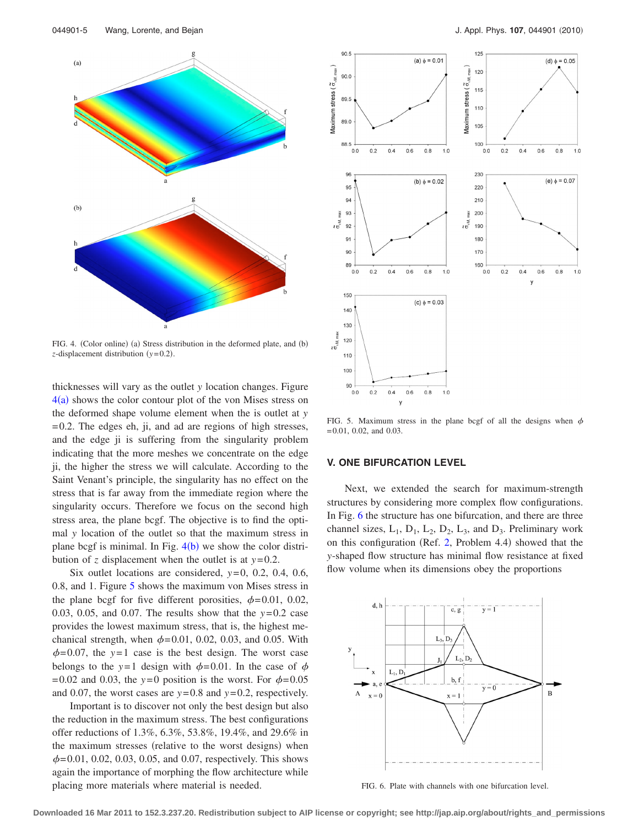<span id="page-4-0"></span>

FIG. 4. (Color online) (a) Stress distribution in the deformed plate, and (b) *z*-displacement distribution (*y*=0.2).

thicknesses will vary as the outlet *y* location changes. Figure  $4(a)$  $4(a)$  shows the color contour plot of the von Mises stress on the deformed shape volume element when the is outlet at *y* = 0.2. The edges eh, ji, and ad are regions of high stresses, and the edge ji is suffering from the singularity problem indicating that the more meshes we concentrate on the edge ji, the higher the stress we will calculate. According to the Saint Venant's principle, the singularity has no effect on the stress that is far away from the immediate region where the singularity occurs. Therefore we focus on the second high stress area, the plane bcgf. The objective is to find the optimal *y* location of the outlet so that the maximum stress in plane bcgf is minimal. In Fig.  $4(b)$  $4(b)$  we show the color distribution of *z* displacement when the outlet is at *y*= 0.2.

Six outlet locations are considered,  $y=0$ , 0.2, 0.4, 0.6, 0.8, and 1. Figure [5](#page-4-1) shows the maximum von Mises stress in the plane bcgf for five different porosities,  $\phi = 0.01, 0.02$ , 0.03, 0.05, and 0.07. The results show that the *y*= 0.2 case provides the lowest maximum stress, that is, the highest mechanical strength, when  $\phi = 0.01$ , 0.02, 0.03, and 0.05. With  $\phi$ = 0.07, the *y*=1 case is the best design. The worst case belongs to the *y*=1 design with  $\phi$ =0.01. In the case of  $\phi$  $= 0.02$  and 0.03, the  $y=0$  position is the worst. For  $\phi = 0.05$ and 0.07, the worst cases are  $y=0.8$  and  $y=0.2$ , respectively.

Important is to discover not only the best design but also the reduction in the maximum stress. The best configurations offer reductions of 1.3%, 6.3%, 53.8%, 19.4%, and 29.6% in the maximum stresses (relative to the worst designs) when  $\phi$ = 0.01, 0.02, 0.03, 0.05, and 0.07, respectively. This shows again the importance of morphing the flow architecture while placing more materials where material is needed.

<span id="page-4-1"></span>

FIG. 5. Maximum stress in the plane bcgf of all the designs when  $\phi$ = 0.01, 0.02, and 0.03.

#### **V. ONE BIFURCATION LEVEL**

Next, we extended the search for maximum-strength structures by considering more complex flow configurations. In Fig. [6](#page-4-2) the structure has one bifurcation, and there are three channel sizes,  $L_1$ ,  $D_1$ ,  $L_2$ ,  $D_2$ ,  $L_3$ , and  $D_3$ . Preliminary work on this configuration (Ref.  $2$ , Problem 4.4) showed that the *y*-shaped flow structure has minimal flow resistance at fixed flow volume when its dimensions obey the proportions

<span id="page-4-2"></span>

FIG. 6. Plate with channels with one bifurcation level.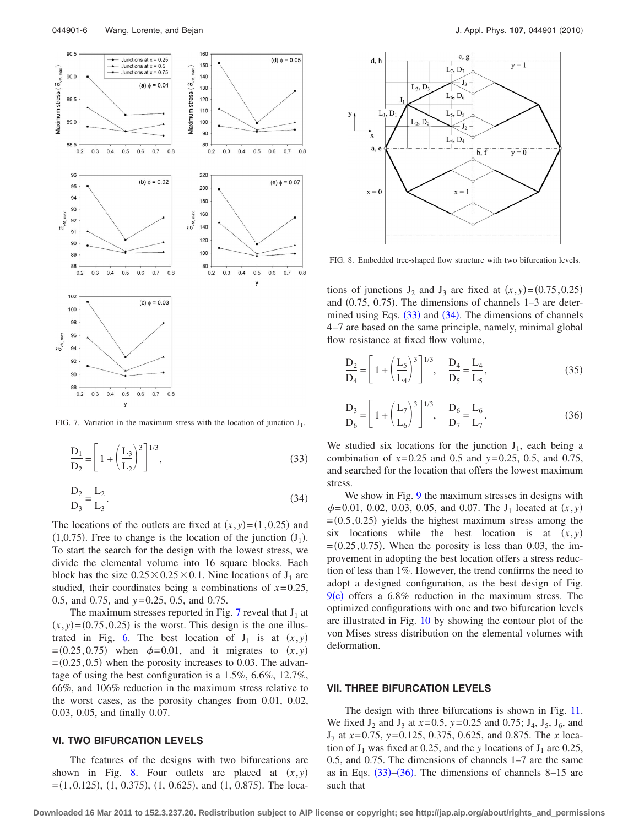<span id="page-5-0"></span>

<span id="page-5-2"></span>FIG. 7. Variation in the maximum stress with the location of junction  $J_1$ .

$$
\frac{D_1}{D_2} = \left[1 + \left(\frac{L_3}{L_2}\right)^3\right]^{1/3},
$$
\n(33)

<span id="page-5-3"></span>
$$
\frac{D_2}{D_3} = \frac{L_2}{L_3}.
$$
\n(34)

The locations of the outlets are fixed at  $(x, y) = (1, 0.25)$  and  $(1,0.75)$ . Free to change is the location of the junction  $(J_1)$ . To start the search for the design with the lowest stress, we divide the elemental volume into 16 square blocks. Each block has the size  $0.25 \times 0.25 \times 0.1$ . Nine locations of J<sub>1</sub> are studied, their coordinates being a combinations of *x*= 0.25, 0.5, and 0.75, and *y*= 0.25, 0.5, and 0.75.

The maximum stresses reported in Fig. [7](#page-5-0) reveal that  $J_1$  at  $(x, y) = (0.75, 0.25)$  is the worst. This design is the one illus-trated in Fig. [6.](#page-4-2) The best location of  $J_1$  is at  $(x, y)$  $=(0.25, 0.75)$  when  $\phi = 0.01$ , and it migrates to  $(x, y)$  $(0.25, 0.5)$  when the porosity increases to 0.03. The advantage of using the best configuration is a 1.5%, 6.6%, 12.7%, 66%, and 106% reduction in the maximum stress relative to the worst cases, as the porosity changes from 0.01, 0.02, 0.03, 0.05, and finally 0.07.

#### **VI. TWO BIFURCATION LEVELS**

The features of the designs with two bifurcations are shown in Fig. [8.](#page-5-1) Four outlets are placed at  $(x, y)$  $=(1, 0.125), (1, 0.375), (1, 0.625),$  and  $(1, 0.875)$ . The loca-

<span id="page-5-1"></span>

FIG. 8. Embedded tree-shaped flow structure with two bifurcation levels.

tions of junctions  $J_2$  and  $J_3$  are fixed at  $(x, y) = (0.75, 0.25)$ and  $(0.75, 0.75)$ . The dimensions of channels  $1-3$  are determined using Eqs.  $(33)$  $(33)$  $(33)$  and  $(34)$  $(34)$  $(34)$ . The dimensions of channels 4–7 are based on the same principle, namely, minimal global flow resistance at fixed flow volume,

$$
\frac{D_2}{D_4} = \left[1 + \left(\frac{L_5}{L_4}\right)^3\right]^{1/3}, \quad \frac{D_4}{D_5} = \frac{L_4}{L_5},\tag{35}
$$

<span id="page-5-4"></span>
$$
\frac{D_3}{D_6} = \left[1 + \left(\frac{L_7}{L_6}\right)^3\right]^{1/3}, \quad \frac{D_6}{D_7} = \frac{L_6}{L_7}.
$$
 (36)

We studied six locations for the junction  $J_1$ , each being a combination of *x*= 0.25 and 0.5 and *y*= 0.25, 0.5, and 0.75, and searched for the location that offers the lowest maximum stress.

We show in Fig. [9](#page-6-0) the maximum stresses in designs with  $\phi$ = 0.01, 0.02, 0.03, 0.05, and 0.07. The J<sub>1</sub> located at  $(x, y)$  $(0.5, 0.25)$  yields the highest maximum stress among the six locations while the best location is at  $(x, y)$  $=(0.25, 0.75)$ . When the porosity is less than 0.03, the improvement in adopting the best location offers a stress reduction of less than 1%. However, the trend confirms the need to adopt a designed configuration, as the best design of Fig.  $9(e)$  $9(e)$  offers a 6.8% reduction in the maximum stress. The optimized configurations with one and two bifurcation levels are illustrated in Fig. [10](#page-6-1) by showing the contour plot of the von Mises stress distribution on the elemental volumes with deformation.

#### **VII. THREE BIFURCATION LEVELS**

The design with three bifurcations is shown in Fig. [11.](#page-6-2) We fixed  $J_2$  and  $J_3$  at  $x=0.5$ ,  $y=0.25$  and 0.75;  $J_4$ ,  $J_5$ ,  $J_6$ , and J7 at *x*= 0.75, *y*= 0.125, 0.375, 0.625, and 0.875. The *x* location of  $J_1$  was fixed at 0.25, and the *y* locations of  $J_1$  are 0.25, 0.5, and 0.75. The dimensions of channels 1–7 are the same as in Eqs.  $(33)$  $(33)$  $(33)$ – $(36)$  $(36)$  $(36)$ . The dimensions of channels 8–15 are such that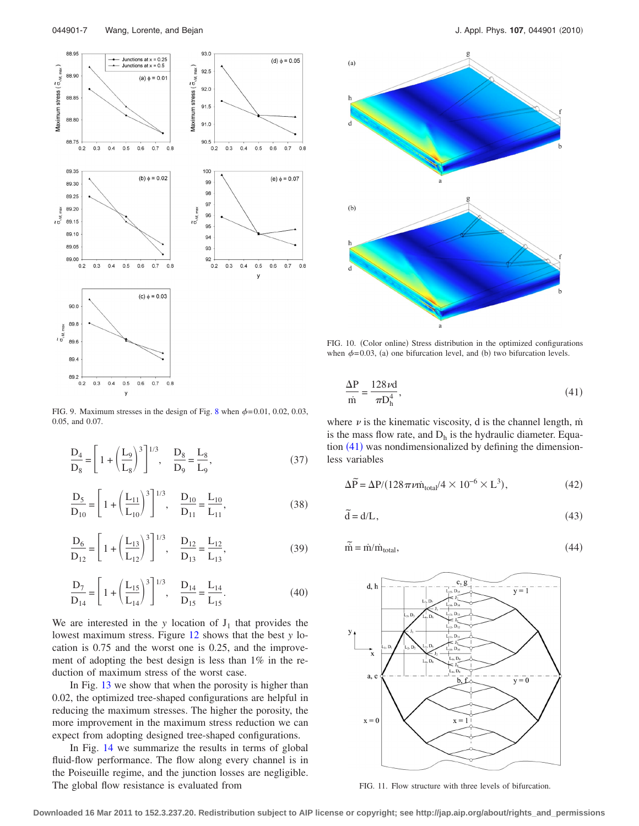<span id="page-6-0"></span>

FIG. 9. Maximum stresses in the design of Fig. [8](#page-5-1) when  $\phi = 0.01, 0.02, 0.03$ , 0.05, and 0.07.

$$
\frac{D_4}{D_8} = \left[1 + \left(\frac{L_9}{L_8}\right)^3\right]^{1/3}, \quad \frac{D_8}{D_9} = \frac{L_8}{L_9},\tag{37}
$$

$$
\frac{D_5}{D_{10}} = \left[1 + \left(\frac{L_{11}}{L_{10}}\right)^3\right]^{1/3}, \quad \frac{D_{10}}{D_{11}} = \frac{L_{10}}{L_{11}},\tag{38}
$$

$$
\frac{D_6}{D_{12}} = \left[1 + \left(\frac{L_{13}}{L_{12}}\right)^3\right]^{1/3}, \quad \frac{D_{12}}{D_{13}} = \frac{L_{12}}{L_{13}},\tag{39}
$$

$$
\frac{D_7}{D_{14}} = \left[1 + \left(\frac{L_{15}}{L_{14}}\right)^3\right]^{1/3}, \quad \frac{D_{14}}{D_{15}} = \frac{L_{14}}{L_{15}}.
$$
 (40)

We are interested in the *y* location of  $J_1$  that provides the lowest maximum stress. Figure [12](#page-7-0) shows that the best *y* location is 0.75 and the worst one is 0.25, and the improvement of adopting the best design is less than 1% in the reduction of maximum stress of the worst case.

In Fig. [13](#page-7-1) we show that when the porosity is higher than 0.02, the optimized tree-shaped configurations are helpful in reducing the maximum stresses. The higher the porosity, the more improvement in the maximum stress reduction we can expect from adopting designed tree-shaped configurations.

In Fig. [14](#page-7-2) we summarize the results in terms of global fluid-flow performance. The flow along every channel is in the Poiseuille regime, and the junction losses are negligible. The global flow resistance is evaluated from

<span id="page-6-1"></span>

FIG. 10. (Color online) Stress distribution in the optimized configurations when  $\phi = 0.03$ , (a) one bifurcation level, and (b) two bifurcation levels.

<span id="page-6-3"></span>
$$
\frac{\Delta P}{m} = \frac{128\nu d}{\pi D_h^4},\tag{41}
$$

where  $\nu$  is the kinematic viscosity, d is the channel length, m $\dot{}$ is the mass flow rate, and  $D_h$  is the hydraulic diameter. Equation  $(41)$  $(41)$  $(41)$  was nondimensionalized by defining the dimensionless variables

$$
\Delta \widetilde{P} = \Delta P / (128 \pi \nu \dot{m}_{\text{total}} / 4 \times 10^{-6} \times L^3), \tag{42}
$$

$$
\tilde{\mathbf{d}} = \mathbf{d}/\mathbf{L},\tag{43}
$$

$$
\widetilde{m} = \dot{m}/\dot{m}_{total},\tag{44}
$$

<span id="page-6-2"></span>

FIG. 11. Flow structure with three levels of bifurcation.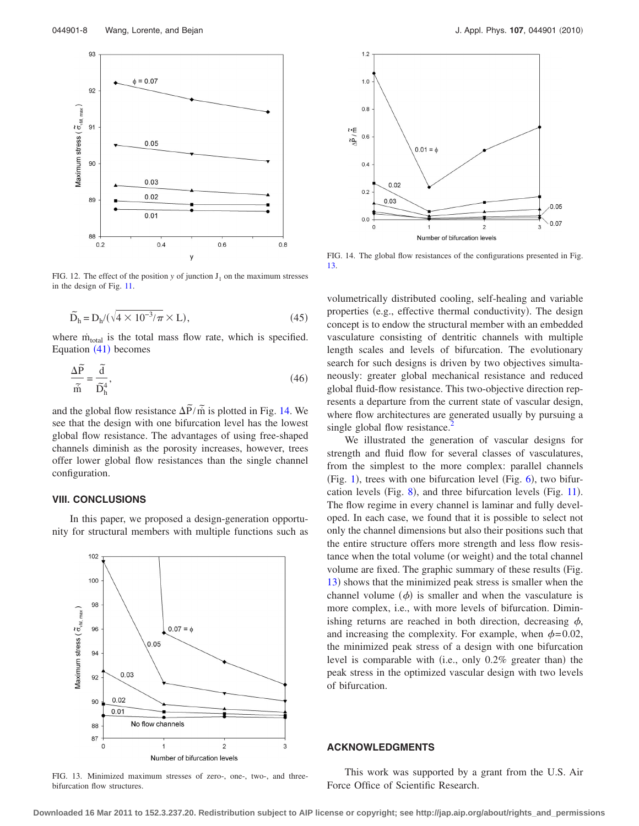<span id="page-7-0"></span>

FIG. 12. The effect of the position  $y$  of junction  $J_1$  on the maximum stresses in the design of Fig. [11.](#page-6-2)

$$
\widetilde{D}_h = D_h / (\sqrt{4 \times 10^{-3}/\pi} \times L),\tag{45}
$$

where m<sub>total</sub> is the total mass flow rate, which is specified. Equation ([41](#page-6-3)) becomes

$$
\frac{\Delta \widetilde{P}}{\widetilde{m}} = \frac{\widetilde{d}}{\widetilde{D}_h^4},\tag{46}
$$

and the global flow resistance  $\Delta \tilde{P}/\tilde{m}$  is plotted in Fig. [14.](#page-7-2) We see that the design with one bifurcation level has the lowest global flow resistance. The advantages of using free-shaped channels diminish as the porosity increases, however, trees offer lower global flow resistances than the single channel configuration.

## **VIII. CONCLUSIONS**

In this paper, we proposed a design-generation opportunity for structural members with multiple functions such as

<span id="page-7-1"></span>

FIG. 13. Minimized maximum stresses of zero-, one-, two-, and threebifurcation flow structures.

<span id="page-7-2"></span>

FIG. 14. The global flow resistances of the configurations presented in Fig. [13.](#page-7-1)

volumetrically distributed cooling, self-healing and variable properties (e.g., effective thermal conductivity). The design concept is to endow the structural member with an embedded vasculature consisting of dentritic channels with multiple length scales and levels of bifurcation. The evolutionary search for such designs is driven by two objectives simultaneously: greater global mechanical resistance and reduced global fluid-flow resistance. This two-objective direction represents a departure from the current state of vascular design, where flow architectures are generated usually by pursuing a single global flow resistance.<sup>2</sup>

We illustrated the generation of vascular designs for strength and fluid flow for several classes of vasculatures, from the simplest to the more complex: parallel channels (Fig. [1](#page-1-0)), trees with one bifurcation level (Fig.  $6$ ), two bifur-cation levels (Fig. [8](#page-5-1)), and three bifurcation levels (Fig. [11](#page-6-2)). The flow regime in every channel is laminar and fully developed. In each case, we found that it is possible to select not only the channel dimensions but also their positions such that the entire structure offers more strength and less flow resistance when the total volume (or weight) and the total channel volume are fixed. The graphic summary of these results (Fig. [13](#page-7-1)) shows that the minimized peak stress is smaller when the channel volume  $(\phi)$  is smaller and when the vasculature is more complex, i.e., with more levels of bifurcation. Diminishing returns are reached in both direction, decreasing  $\phi$ , and increasing the complexity. For example, when  $\phi = 0.02$ , the minimized peak stress of a design with one bifurcation level is comparable with (i.e., only 0.2% greater than) the peak stress in the optimized vascular design with two levels of bifurcation.

## **ACKNOWLEDGMENTS**

This work was supported by a grant from the U.S. Air Force Office of Scientific Research.

**Downloaded 16 Mar 2011 to 152.3.237.20. Redistribution subject to AIP license or copyright; see http://jap.aip.org/about/rights\_and\_permissions**